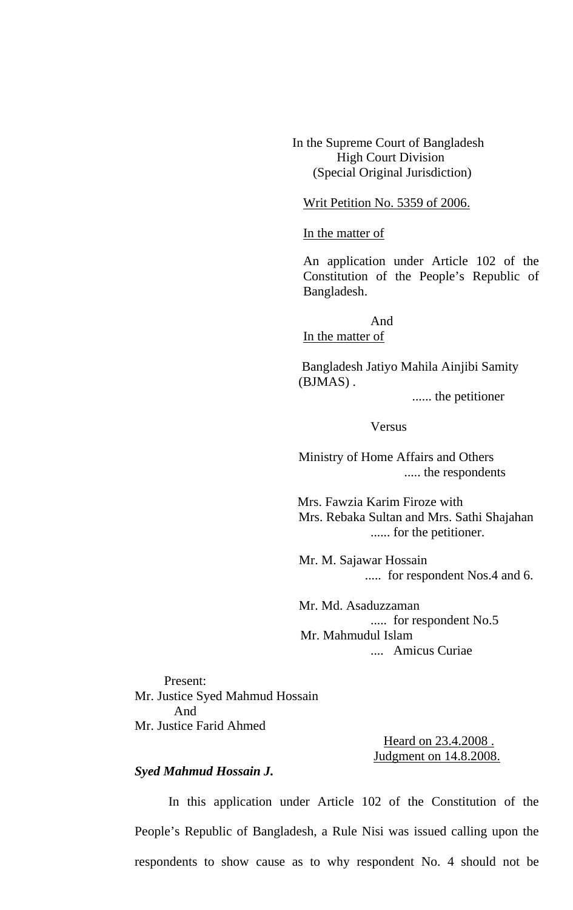In the Supreme Court of Bangladesh High Court Division (Special Original Jurisdiction)

Writ Petition No. 5359 of 2006.

In the matter of

An application under Article 102 of the Constitution of the People's Republic of Bangladesh.

 And In the matter of

 Bangladesh Jatiyo Mahila Ainjibi Samity (BJMAS) .

...... the petitioner

Versus

 Ministry of Home Affairs and Others ..... the respondents

 Mrs. Fawzia Karim Firoze with Mrs. Rebaka Sultan and Mrs. Sathi Shajahan ...... for the petitioner.

 Mr. M. Sajawar Hossain ..... for respondent Nos.4 and 6.

 Mr. Md. Asaduzzaman ..... for respondent No.5 Mr. Mahmudul Islam .... Amicus Curiae

 Present: Mr. Justice Syed Mahmud Hossain And Mr. Justice Farid Ahmed

> Heard on 23.4.2008 . Judgment on 14.8.2008.

# *Syed Mahmud Hossain J.*

In this application under Article 102 of the Constitution of the People's Republic of Bangladesh, a Rule Nisi was issued calling upon the respondents to show cause as to why respondent No. 4 should not be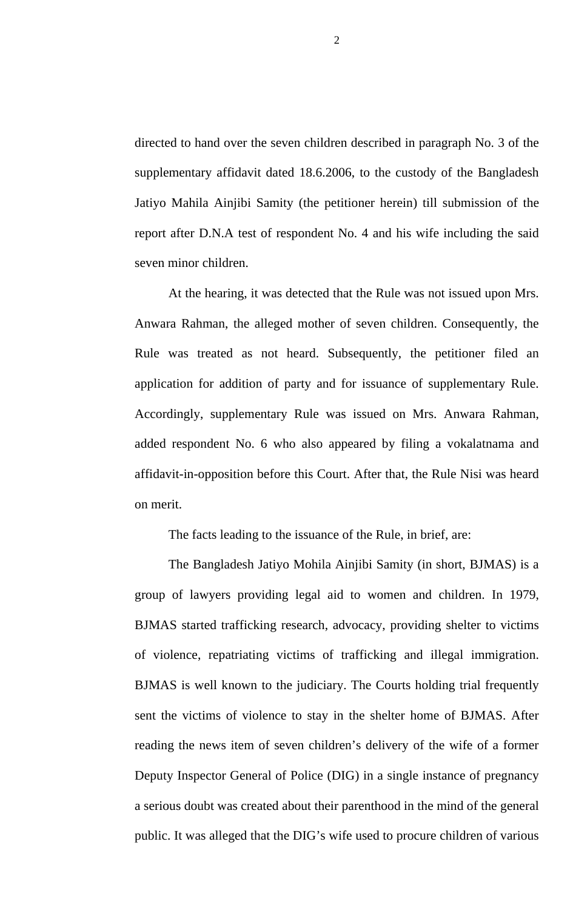directed to hand over the seven children described in paragraph No. 3 of the supplementary affidavit dated 18.6.2006, to the custody of the Bangladesh Jatiyo Mahila Ainjibi Samity (the petitioner herein) till submission of the report after D.N.A test of respondent No. 4 and his wife including the said seven minor children.

 At the hearing, it was detected that the Rule was not issued upon Mrs. Anwara Rahman, the alleged mother of seven children. Consequently, the Rule was treated as not heard. Subsequently, the petitioner filed an application for addition of party and for issuance of supplementary Rule. Accordingly, supplementary Rule was issued on Mrs. Anwara Rahman, added respondent No. 6 who also appeared by filing a vokalatnama and affidavit-in-opposition before this Court. After that, the Rule Nisi was heard on merit.

The facts leading to the issuance of the Rule, in brief, are:

The Bangladesh Jatiyo Mohila Ainjibi Samity (in short, BJMAS) is a group of lawyers providing legal aid to women and children. In 1979, BJMAS started trafficking research, advocacy, providing shelter to victims of violence, repatriating victims of trafficking and illegal immigration. BJMAS is well known to the judiciary. The Courts holding trial frequently sent the victims of violence to stay in the shelter home of BJMAS. After reading the news item of seven children's delivery of the wife of a former Deputy Inspector General of Police (DIG) in a single instance of pregnancy a serious doubt was created about their parenthood in the mind of the general public. It was alleged that the DIG's wife used to procure children of various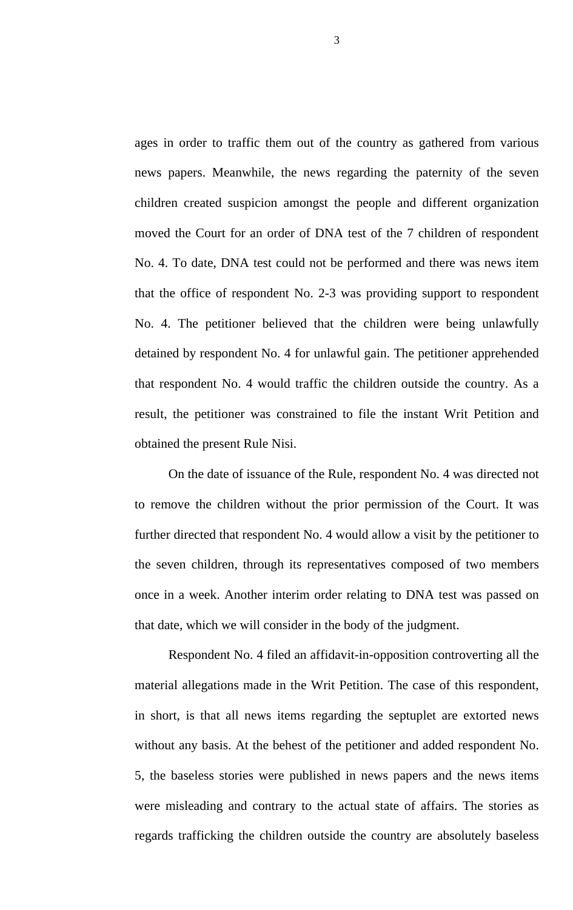ages in order to traffic them out of the country as gathered from various news papers. Meanwhile, the news regarding the paternity of the seven children created suspicion amongst the people and different organization moved the Court for an order of DNA test of the 7 children of respondent No. 4. To date, DNA test could not be performed and there was news item that the office of respondent No. 2-3 was providing support to respondent No. 4. The petitioner believed that the children were being unlawfully detained by respondent No. 4 for unlawful gain. The petitioner apprehended that respondent No. 4 would traffic the children outside the country. As a result, the petitioner was constrained to file the instant Writ Petition and obtained the present Rule Nisi.

On the date of issuance of the Rule, respondent No. 4 was directed not to remove the children without the prior permission of the Court. It was further directed that respondent No. 4 would allow a visit by the petitioner to the seven children, through its representatives composed of two members once in a week. Another interim order relating to DNA test was passed on that date, which we will consider in the body of the judgment.

 Respondent No. 4 filed an affidavit-in-opposition controverting all the material allegations made in the Writ Petition. The case of this respondent, in short, is that all news items regarding the septuplet are extorted news without any basis. At the behest of the petitioner and added respondent No. 5, the baseless stories were published in news papers and the news items were misleading and contrary to the actual state of affairs. The stories as regards trafficking the children outside the country are absolutely baseless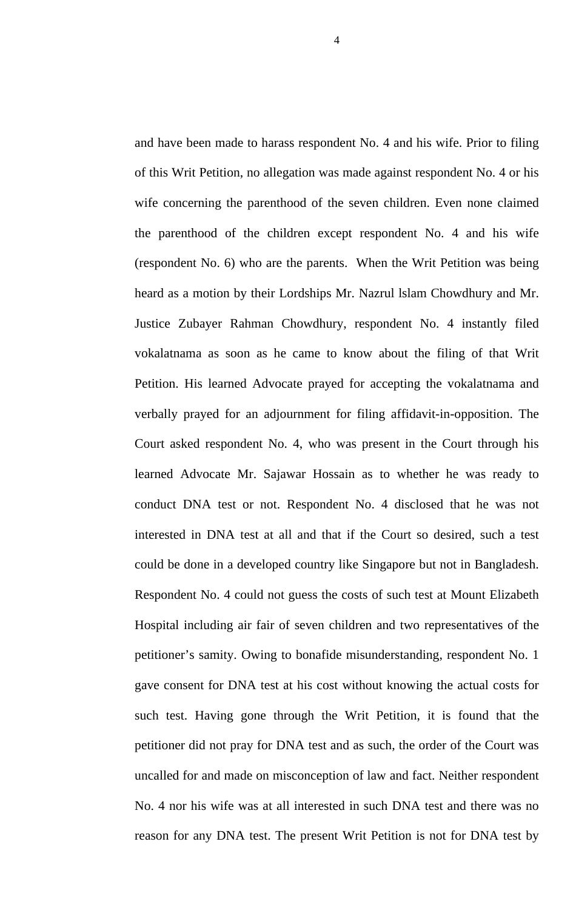and have been made to harass respondent No. 4 and his wife. Prior to filing of this Writ Petition, no allegation was made against respondent No. 4 or his wife concerning the parenthood of the seven children. Even none claimed the parenthood of the children except respondent No. 4 and his wife (respondent No. 6) who are the parents. When the Writ Petition was being heard as a motion by their Lordships Mr. Nazrul lslam Chowdhury and Mr. Justice Zubayer Rahman Chowdhury, respondent No. 4 instantly filed vokalatnama as soon as he came to know about the filing of that Writ Petition. His learned Advocate prayed for accepting the vokalatnama and verbally prayed for an adjournment for filing affidavit-in-opposition. The Court asked respondent No. 4, who was present in the Court through his learned Advocate Mr. Sajawar Hossain as to whether he was ready to conduct DNA test or not. Respondent No. 4 disclosed that he was not interested in DNA test at all and that if the Court so desired, such a test could be done in a developed country like Singapore but not in Bangladesh. Respondent No. 4 could not guess the costs of such test at Mount Elizabeth Hospital including air fair of seven children and two representatives of the petitioner's samity. Owing to bonafide misunderstanding, respondent No. 1 gave consent for DNA test at his cost without knowing the actual costs for such test. Having gone through the Writ Petition, it is found that the petitioner did not pray for DNA test and as such, the order of the Court was uncalled for and made on misconception of law and fact. Neither respondent No. 4 nor his wife was at all interested in such DNA test and there was no reason for any DNA test. The present Writ Petition is not for DNA test by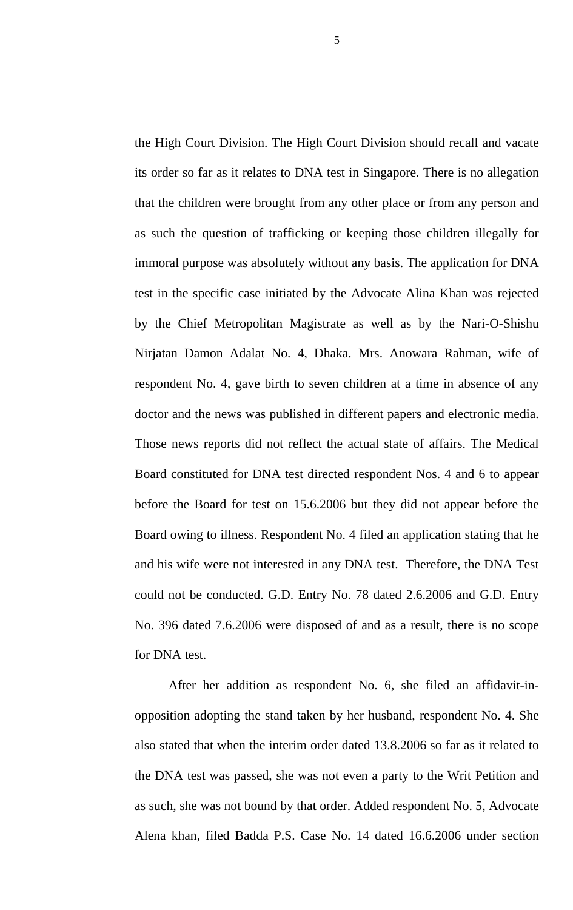the High Court Division. The High Court Division should recall and vacate its order so far as it relates to DNA test in Singapore. There is no allegation that the children were brought from any other place or from any person and as such the question of trafficking or keeping those children illegally for immoral purpose was absolutely without any basis. The application for DNA test in the specific case initiated by the Advocate Alina Khan was rejected by the Chief Metropolitan Magistrate as well as by the Nari-O-Shishu Nirjatan Damon Adalat No. 4, Dhaka. Mrs. Anowara Rahman, wife of respondent No. 4, gave birth to seven children at a time in absence of any doctor and the news was published in different papers and electronic media. Those news reports did not reflect the actual state of affairs. The Medical Board constituted for DNA test directed respondent Nos. 4 and 6 to appear before the Board for test on 15.6.2006 but they did not appear before the Board owing to illness. Respondent No. 4 filed an application stating that he and his wife were not interested in any DNA test. Therefore, the DNA Test could not be conducted. G.D. Entry No. 78 dated 2.6.2006 and G.D. Entry No. 396 dated 7.6.2006 were disposed of and as a result, there is no scope for DNA test.

 After her addition as respondent No. 6, she filed an affidavit-inopposition adopting the stand taken by her husband, respondent No. 4. She also stated that when the interim order dated 13.8.2006 so far as it related to the DNA test was passed, she was not even a party to the Writ Petition and as such, she was not bound by that order. Added respondent No. 5, Advocate Alena khan, filed Badda P.S. Case No. 14 dated 16.6.2006 under section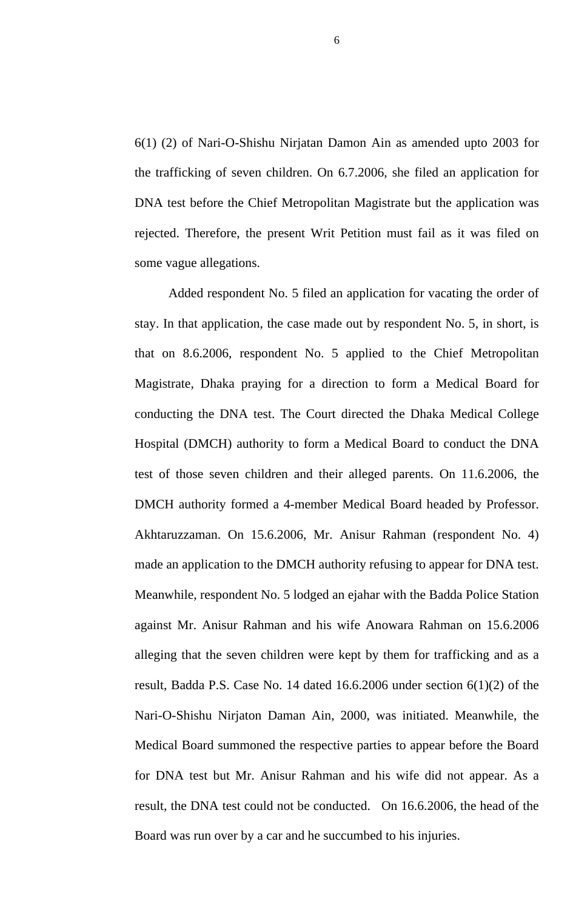6(1) (2) of Nari-O-Shishu Nirjatan Damon Ain as amended upto 2003 for the trafficking of seven children. On 6.7.2006, she filed an application for DNA test before the Chief Metropolitan Magistrate but the application was rejected. Therefore, the present Writ Petition must fail as it was filed on some vague allegations.

 Added respondent No. 5 filed an application for vacating the order of stay. In that application, the case made out by respondent No. 5, in short, is that on 8.6.2006, respondent No. 5 applied to the Chief Metropolitan Magistrate, Dhaka praying for a direction to form a Medical Board for conducting the DNA test. The Court directed the Dhaka Medical College Hospital (DMCH) authority to form a Medical Board to conduct the DNA test of those seven children and their alleged parents. On 11.6.2006, the DMCH authority formed a 4-member Medical Board headed by Professor. Akhtaruzzaman. On 15.6.2006, Mr. Anisur Rahman (respondent No. 4) made an application to the DMCH authority refusing to appear for DNA test. Meanwhile, respondent No. 5 lodged an ejahar with the Badda Police Station against Mr. Anisur Rahman and his wife Anowara Rahman on 15.6.2006 alleging that the seven children were kept by them for trafficking and as a result, Badda P.S. Case No. 14 dated 16.6.2006 under section 6(1)(2) of the Nari-O-Shishu Nirjaton Daman Ain, 2000, was initiated. Meanwhile, the Medical Board summoned the respective parties to appear before the Board for DNA test but Mr. Anisur Rahman and his wife did not appear. As a result, the DNA test could not be conducted. On 16.6.2006, the head of the Board was run over by a car and he succumbed to his injuries.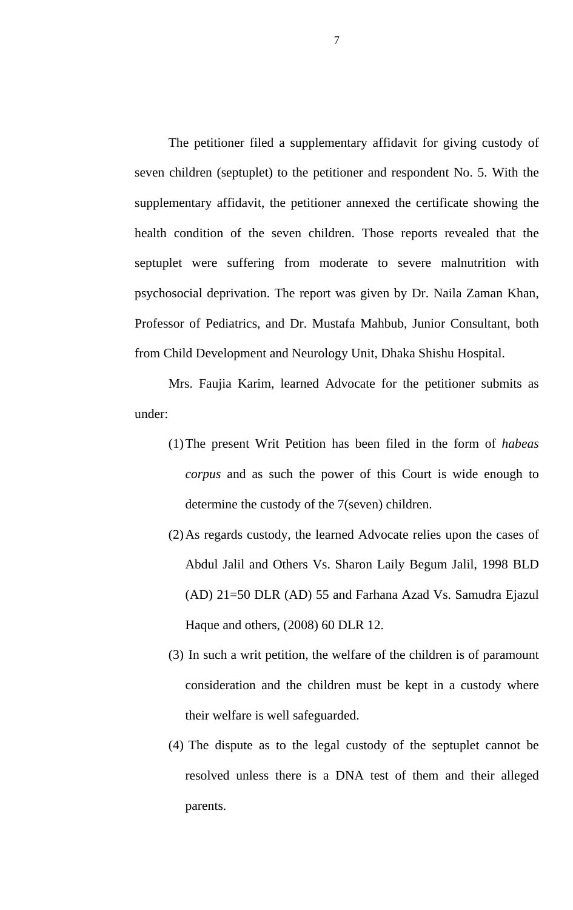The petitioner filed a supplementary affidavit for giving custody of seven children (septuplet) to the petitioner and respondent No. 5. With the supplementary affidavit, the petitioner annexed the certificate showing the health condition of the seven children. Those reports revealed that the septuplet were suffering from moderate to severe malnutrition with psychosocial deprivation. The report was given by Dr. Naila Zaman Khan, Professor of Pediatrics, and Dr. Mustafa Mahbub, Junior Consultant, both from Child Development and Neurology Unit, Dhaka Shishu Hospital.

 Mrs. Faujia Karim, learned Advocate for the petitioner submits as under:

- (1)The present Writ Petition has been filed in the form of *habeas corpus* and as such the power of this Court is wide enough to determine the custody of the 7(seven) children.
- (2)As regards custody, the learned Advocate relies upon the cases of Abdul Jalil and Others Vs. Sharon Laily Begum Jalil, 1998 BLD (AD) 21=50 DLR (AD) 55 and Farhana Azad Vs. Samudra Ejazul Haque and others, (2008) 60 DLR 12.
- (3) In such a writ petition, the welfare of the children is of paramount consideration and the children must be kept in a custody where their welfare is well safeguarded.
- (4) The dispute as to the legal custody of the septuplet cannot be resolved unless there is a DNA test of them and their alleged parents.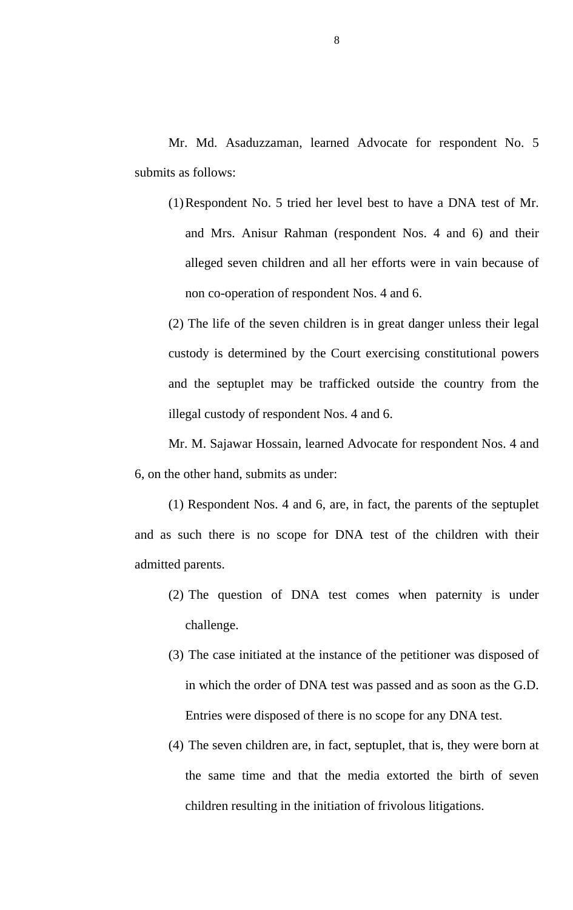Mr. Md. Asaduzzaman, learned Advocate for respondent No. 5 submits as follows:

(1)Respondent No. 5 tried her level best to have a DNA test of Mr. and Mrs. Anisur Rahman (respondent Nos. 4 and 6) and their alleged seven children and all her efforts were in vain because of non co-operation of respondent Nos. 4 and 6.

(2) The life of the seven children is in great danger unless their legal custody is determined by the Court exercising constitutional powers and the septuplet may be trafficked outside the country from the illegal custody of respondent Nos. 4 and 6.

 Mr. M. Sajawar Hossain, learned Advocate for respondent Nos. 4 and 6, on the other hand, submits as under:

(1) Respondent Nos. 4 and 6, are, in fact, the parents of the septuplet and as such there is no scope for DNA test of the children with their admitted parents.

- (2) The question of DNA test comes when paternity is under challenge.
- (3) The case initiated at the instance of the petitioner was disposed of in which the order of DNA test was passed and as soon as the G.D. Entries were disposed of there is no scope for any DNA test.
- (4) The seven children are, in fact, septuplet, that is, they were born at the same time and that the media extorted the birth of seven children resulting in the initiation of frivolous litigations.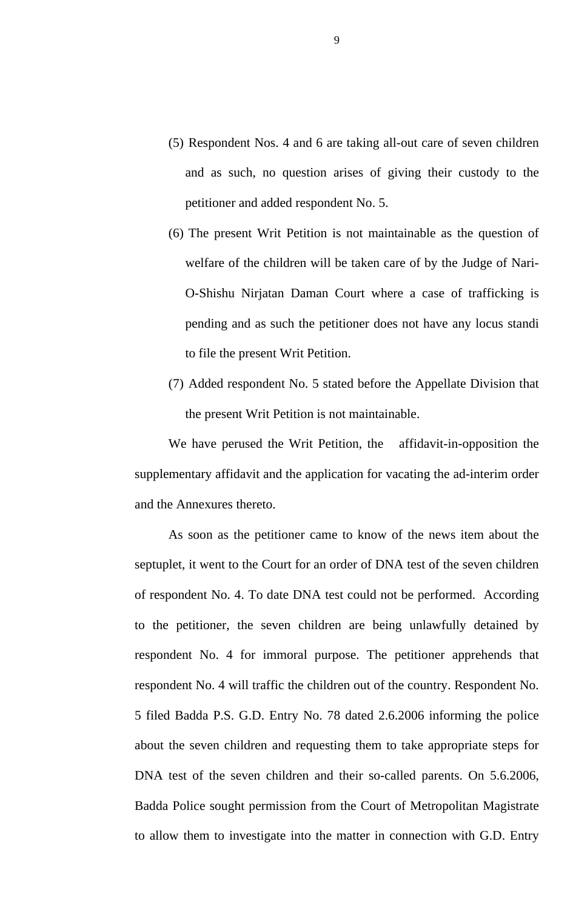- (5) Respondent Nos. 4 and 6 are taking all-out care of seven children and as such, no question arises of giving their custody to the petitioner and added respondent No. 5.
- (6) The present Writ Petition is not maintainable as the question of welfare of the children will be taken care of by the Judge of Nari-O-Shishu Nirjatan Daman Court where a case of trafficking is pending and as such the petitioner does not have any locus standi to file the present Writ Petition.
- (7) Added respondent No. 5 stated before the Appellate Division that the present Writ Petition is not maintainable.

We have perused the Writ Petition, the affidavit-in-opposition the supplementary affidavit and the application for vacating the ad-interim order and the Annexures thereto.

 As soon as the petitioner came to know of the news item about the septuplet, it went to the Court for an order of DNA test of the seven children of respondent No. 4. To date DNA test could not be performed. According to the petitioner, the seven children are being unlawfully detained by respondent No. 4 for immoral purpose. The petitioner apprehends that respondent No. 4 will traffic the children out of the country. Respondent No. 5 filed Badda P.S. G.D. Entry No. 78 dated 2.6.2006 informing the police about the seven children and requesting them to take appropriate steps for DNA test of the seven children and their so-called parents. On 5.6.2006, Badda Police sought permission from the Court of Metropolitan Magistrate to allow them to investigate into the matter in connection with G.D. Entry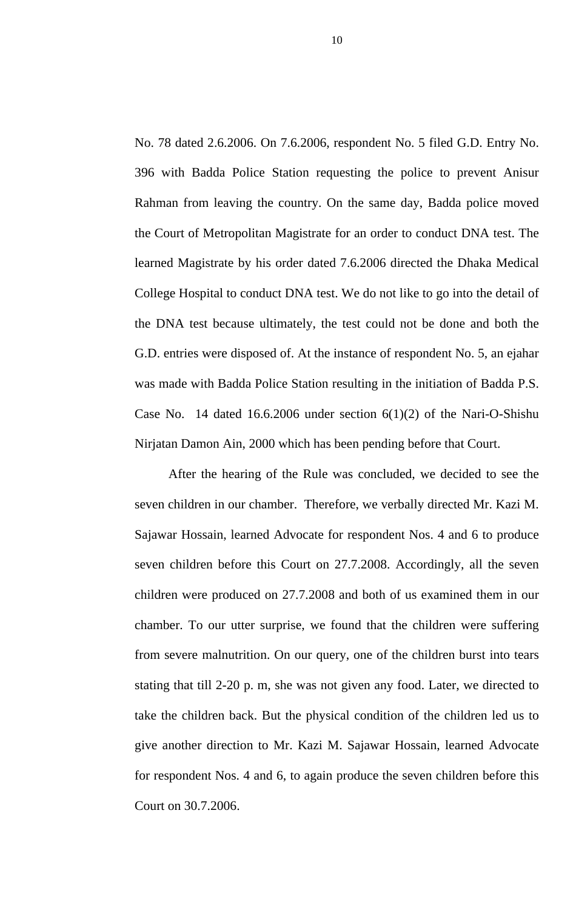No. 78 dated 2.6.2006. On 7.6.2006, respondent No. 5 filed G.D. Entry No. 396 with Badda Police Station requesting the police to prevent Anisur Rahman from leaving the country. On the same day, Badda police moved the Court of Metropolitan Magistrate for an order to conduct DNA test. The learned Magistrate by his order dated 7.6.2006 directed the Dhaka Medical College Hospital to conduct DNA test. We do not like to go into the detail of the DNA test because ultimately, the test could not be done and both the G.D. entries were disposed of. At the instance of respondent No. 5, an ejahar was made with Badda Police Station resulting in the initiation of Badda P.S. Case No. 14 dated 16.6.2006 under section  $6(1)(2)$  of the Nari-O-Shishu Nirjatan Damon Ain, 2000 which has been pending before that Court.

After the hearing of the Rule was concluded, we decided to see the seven children in our chamber. Therefore, we verbally directed Mr. Kazi M. Sajawar Hossain, learned Advocate for respondent Nos. 4 and 6 to produce seven children before this Court on 27.7.2008. Accordingly, all the seven children were produced on 27.7.2008 and both of us examined them in our chamber. To our utter surprise, we found that the children were suffering from severe malnutrition. On our query, one of the children burst into tears stating that till 2-20 p. m, she was not given any food. Later, we directed to take the children back. But the physical condition of the children led us to give another direction to Mr. Kazi M. Sajawar Hossain, learned Advocate for respondent Nos. 4 and 6, to again produce the seven children before this Court on 30.7.2006.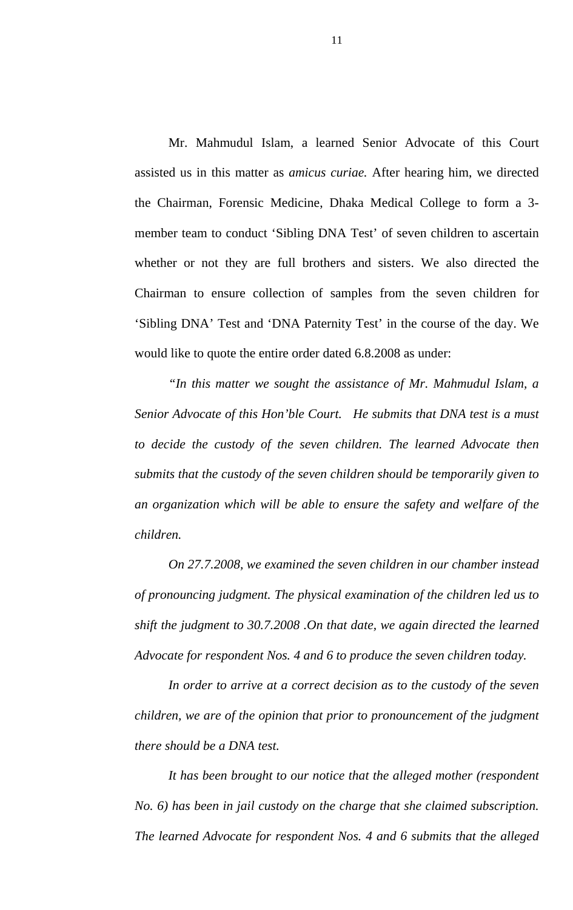Mr. Mahmudul Islam, a learned Senior Advocate of this Court assisted us in this matter as *amicus curiae.* After hearing him, we directed the Chairman, Forensic Medicine, Dhaka Medical College to form a 3 member team to conduct 'Sibling DNA Test' of seven children to ascertain whether or not they are full brothers and sisters. We also directed the Chairman to ensure collection of samples from the seven children for 'Sibling DNA' Test and 'DNA Paternity Test' in the course of the day. We would like to quote the entire order dated 6.8.2008 as under:

*"In this matter we sought the assistance of Mr. Mahmudul Islam, a Senior Advocate of this Hon'ble Court. He submits that DNA test is a must to decide the custody of the seven children. The learned Advocate then submits that the custody of the seven children should be temporarily given to an organization which will be able to ensure the safety and welfare of the children.* 

 *On 27.7.2008, we examined the seven children in our chamber instead of pronouncing judgment. The physical examination of the children led us to shift the judgment to 30.7.2008 .On that date, we again directed the learned Advocate for respondent Nos. 4 and 6 to produce the seven children today.* 

 *In order to arrive at a correct decision as to the custody of the seven children, we are of the opinion that prior to pronouncement of the judgment there should be a DNA test.* 

 *It has been brought to our notice that the alleged mother (respondent No. 6) has been in jail custody on the charge that she claimed subscription. The learned Advocate for respondent Nos. 4 and 6 submits that the alleged*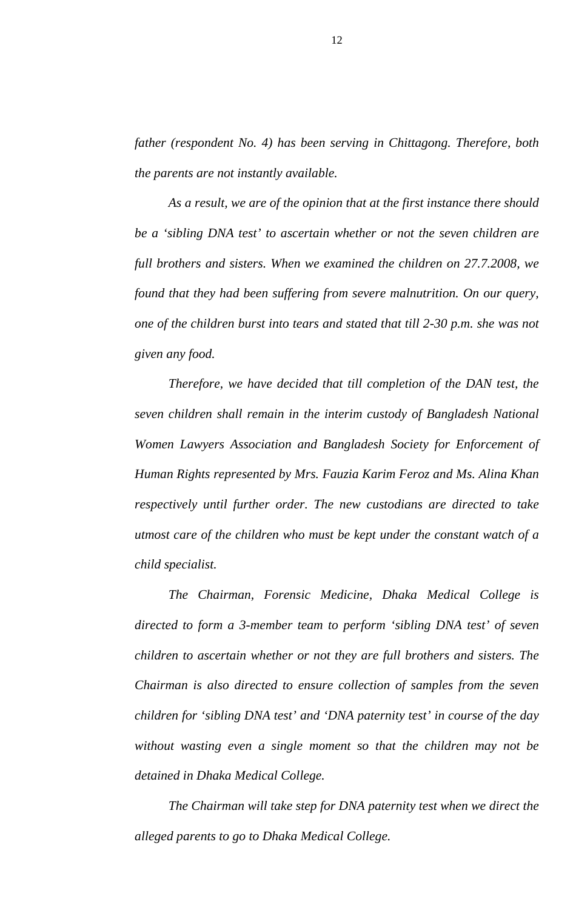*father (respondent No. 4) has been serving in Chittagong. Therefore, both the parents are not instantly available.* 

 *As a result, we are of the opinion that at the first instance there should be a 'sibling DNA test' to ascertain whether or not the seven children are full brothers and sisters. When we examined the children on 27.7.2008, we found that they had been suffering from severe malnutrition. On our query, one of the children burst into tears and stated that till 2-30 p.m. she was not given any food.* 

 *Therefore, we have decided that till completion of the DAN test, the seven children shall remain in the interim custody of Bangladesh National Women Lawyers Association and Bangladesh Society for Enforcement of Human Rights represented by Mrs. Fauzia Karim Feroz and Ms. Alina Khan respectively until further order. The new custodians are directed to take utmost care of the children who must be kept under the constant watch of a child specialist.* 

 *The Chairman, Forensic Medicine, Dhaka Medical College is directed to form a 3-member team to perform 'sibling DNA test' of seven children to ascertain whether or not they are full brothers and sisters. The Chairman is also directed to ensure collection of samples from the seven children for 'sibling DNA test' and 'DNA paternity test' in course of the day without wasting even a single moment so that the children may not be detained in Dhaka Medical College.* 

 *The Chairman will take step for DNA paternity test when we direct the alleged parents to go to Dhaka Medical College.*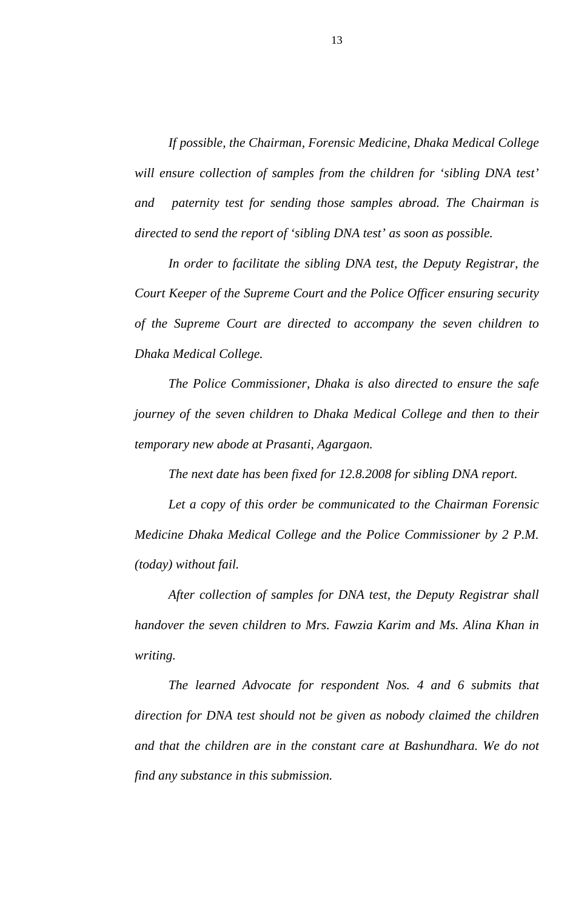*If possible, the Chairman, Forensic Medicine, Dhaka Medical College will ensure collection of samples from the children for 'sibling DNA test' and paternity test for sending those samples abroad. The Chairman is directed to send the report of 'sibling DNA test' as soon as possible.* 

 *In order to facilitate the sibling DNA test, the Deputy Registrar, the Court Keeper of the Supreme Court and the Police Officer ensuring security of the Supreme Court are directed to accompany the seven children to Dhaka Medical College.* 

 *The Police Commissioner, Dhaka is also directed to ensure the safe journey of the seven children to Dhaka Medical College and then to their temporary new abode at Prasanti, Agargaon.* 

 *The next date has been fixed for 12.8.2008 for sibling DNA report.* 

 *Let a copy of this order be communicated to the Chairman Forensic Medicine Dhaka Medical College and the Police Commissioner by 2 P.M. (today) without fail.* 

 *After collection of samples for DNA test, the Deputy Registrar shall handover the seven children to Mrs. Fawzia Karim and Ms. Alina Khan in writing.* 

 *The learned Advocate for respondent Nos. 4 and 6 submits that direction for DNA test should not be given as nobody claimed the children and that the children are in the constant care at Bashundhara. We do not find any substance in this submission.*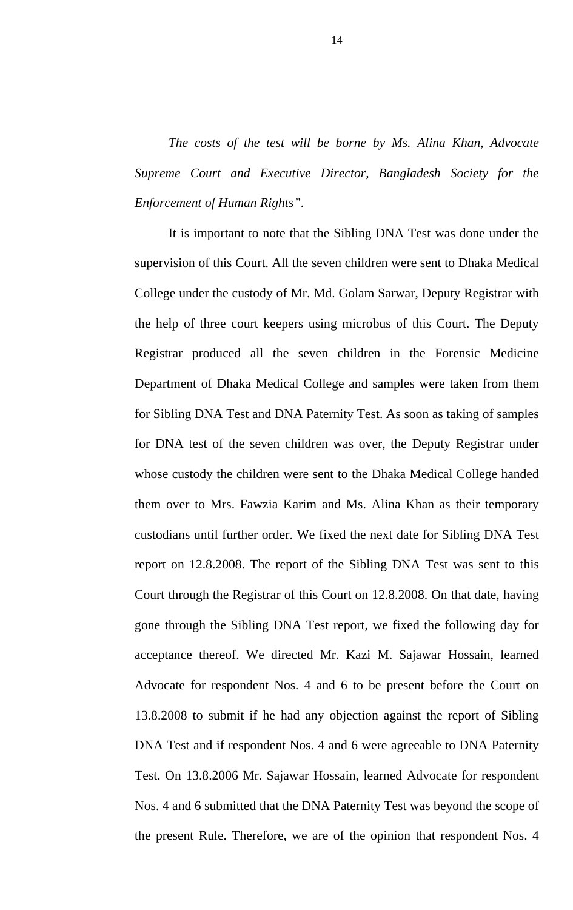*The costs of the test will be borne by Ms. Alina Khan, Advocate Supreme Court and Executive Director, Bangladesh Society for the Enforcement of Human Rights".* 

 It is important to note that the Sibling DNA Test was done under the supervision of this Court. All the seven children were sent to Dhaka Medical College under the custody of Mr. Md. Golam Sarwar, Deputy Registrar with the help of three court keepers using microbus of this Court. The Deputy Registrar produced all the seven children in the Forensic Medicine Department of Dhaka Medical College and samples were taken from them for Sibling DNA Test and DNA Paternity Test. As soon as taking of samples for DNA test of the seven children was over, the Deputy Registrar under whose custody the children were sent to the Dhaka Medical College handed them over to Mrs. Fawzia Karim and Ms. Alina Khan as their temporary custodians until further order. We fixed the next date for Sibling DNA Test report on 12.8.2008. The report of the Sibling DNA Test was sent to this Court through the Registrar of this Court on 12.8.2008. On that date, having gone through the Sibling DNA Test report, we fixed the following day for acceptance thereof. We directed Mr. Kazi M. Sajawar Hossain, learned Advocate for respondent Nos. 4 and 6 to be present before the Court on 13.8.2008 to submit if he had any objection against the report of Sibling DNA Test and if respondent Nos. 4 and 6 were agreeable to DNA Paternity Test. On 13.8.2006 Mr. Sajawar Hossain, learned Advocate for respondent Nos. 4 and 6 submitted that the DNA Paternity Test was beyond the scope of the present Rule. Therefore, we are of the opinion that respondent Nos. 4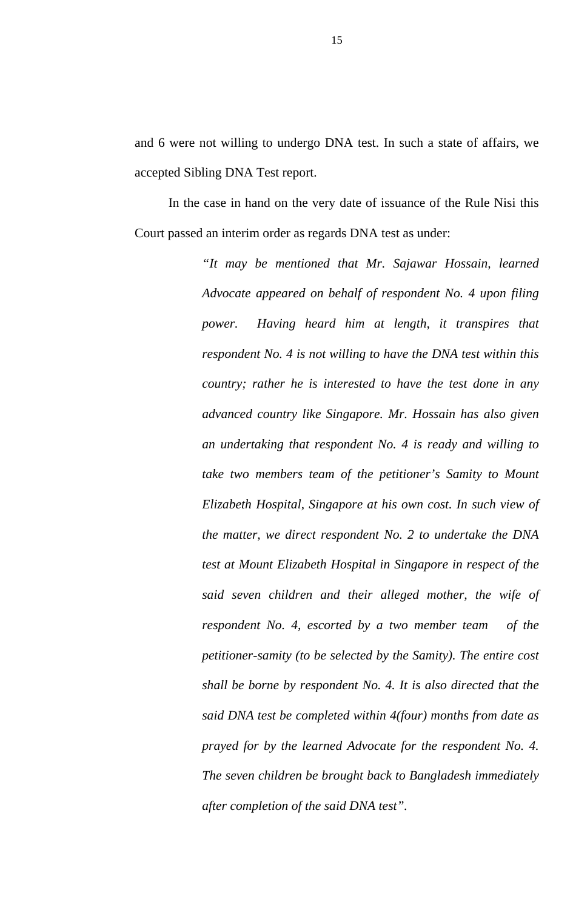and 6 were not willing to undergo DNA test. In such a state of affairs, we accepted Sibling DNA Test report.

 In the case in hand on the very date of issuance of the Rule Nisi this Court passed an interim order as regards DNA test as under:

> *"It may be mentioned that Mr. Sajawar Hossain, learned Advocate appeared on behalf of respondent No. 4 upon filing power. Having heard him at length, it transpires that respondent No. 4 is not willing to have the DNA test within this country; rather he is interested to have the test done in any advanced country like Singapore. Mr. Hossain has also given an undertaking that respondent No. 4 is ready and willing to take two members team of the petitioner's Samity to Mount Elizabeth Hospital, Singapore at his own cost. In such view of the matter, we direct respondent No. 2 to undertake the DNA test at Mount Elizabeth Hospital in Singapore in respect of the said seven children and their alleged mother, the wife of respondent No. 4, escorted by a two member team of the petitioner-samity (to be selected by the Samity). The entire cost shall be borne by respondent No. 4. It is also directed that the said DNA test be completed within 4(four) months from date as prayed for by the learned Advocate for the respondent No. 4. The seven children be brought back to Bangladesh immediately after completion of the said DNA test".*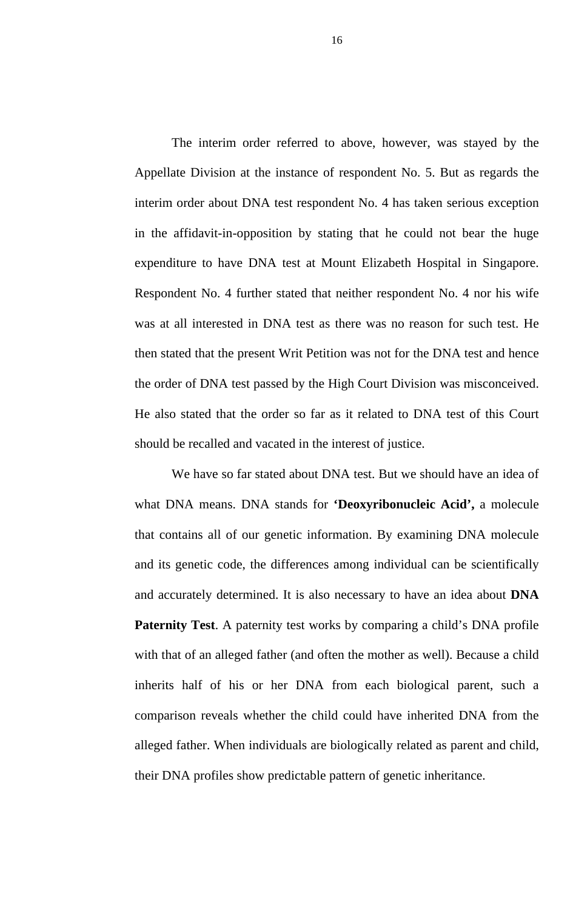The interim order referred to above, however, was stayed by the Appellate Division at the instance of respondent No. 5. But as regards the interim order about DNA test respondent No. 4 has taken serious exception in the affidavit-in-opposition by stating that he could not bear the huge expenditure to have DNA test at Mount Elizabeth Hospital in Singapore. Respondent No. 4 further stated that neither respondent No. 4 nor his wife was at all interested in DNA test as there was no reason for such test. He then stated that the present Writ Petition was not for the DNA test and hence the order of DNA test passed by the High Court Division was misconceived. He also stated that the order so far as it related to DNA test of this Court should be recalled and vacated in the interest of justice.

 We have so far stated about DNA test. But we should have an idea of what DNA means. DNA stands for **'Deoxyribonucleic Acid',** a molecule that contains all of our genetic information. By examining DNA molecule and its genetic code, the differences among individual can be scientifically and accurately determined. It is also necessary to have an idea about **DNA Paternity Test**. A paternity test works by comparing a child's DNA profile with that of an alleged father (and often the mother as well). Because a child inherits half of his or her DNA from each biological parent, such a comparison reveals whether the child could have inherited DNA from the alleged father. When individuals are biologically related as parent and child, their DNA profiles show predictable pattern of genetic inheritance.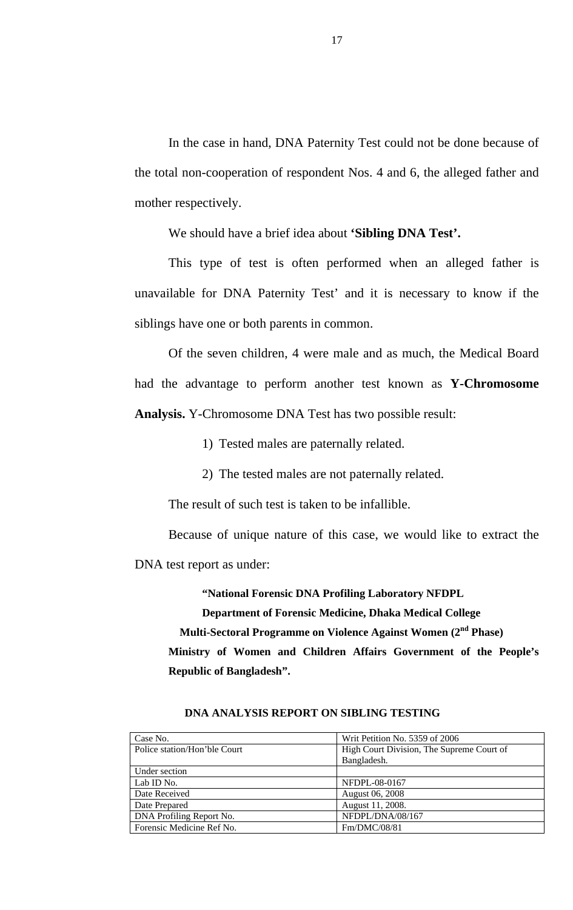In the case in hand, DNA Paternity Test could not be done because of the total non-cooperation of respondent Nos. 4 and 6, the alleged father and mother respectively.

We should have a brief idea about **'Sibling DNA Test'.** 

This type of test is often performed when an alleged father is unavailable for DNA Paternity Test' and it is necessary to know if the siblings have one or both parents in common.

Of the seven children, 4 were male and as much, the Medical Board had the advantage to perform another test known as **Y-Chromosome Analysis.** Y-Chromosome DNA Test has two possible result:

1) Tested males are paternally related.

2) The tested males are not paternally related.

The result of such test is taken to be infallible.

Because of unique nature of this case, we would like to extract the

DNA test report as under:

**"National Forensic DNA Profiling Laboratory NFDPL** 

**Department of Forensic Medicine, Dhaka Medical College** 

 **Multi-Sectoral Programme on Violence Against Women (2nd Phase)** 

**Ministry of Women and Children Affairs Government of the People's Republic of Bangladesh".** 

| Case No.                     | Writ Petition No. 5359 of 2006            |
|------------------------------|-------------------------------------------|
| Police station/Hon'ble Court | High Court Division, The Supreme Court of |
|                              | Bangladesh.                               |
| Under section                |                                           |
| Lab ID No.                   | NFDPL-08-0167                             |
| Date Received                | August 06, 2008                           |
| Date Prepared                | August 11, 2008.                          |
| DNA Profiling Report No.     | NFDPL/DNA/08/167                          |
| Forensic Medicine Ref No.    | Fm/DMC/08/81                              |

## **DNA ANALYSIS REPORT ON SIBLING TESTING**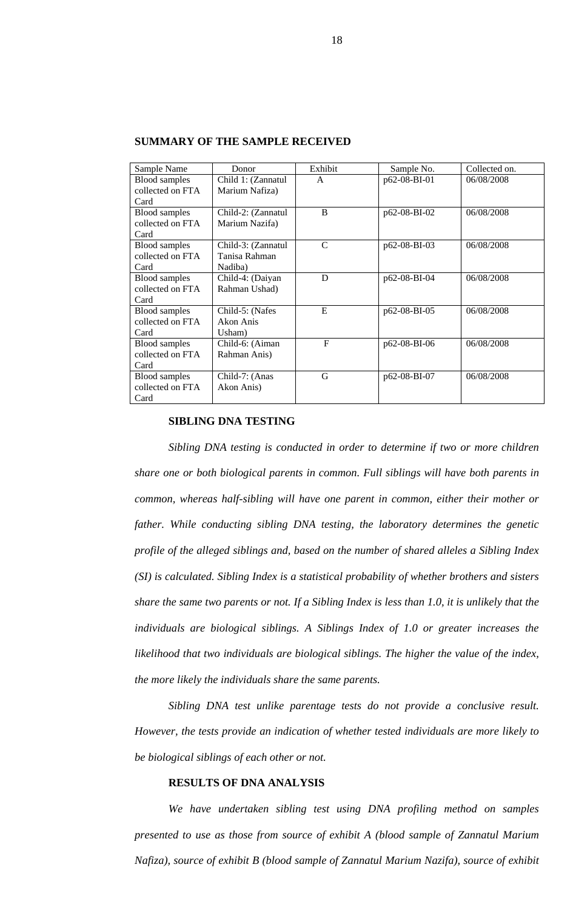| Sample Name          | Donor              | Exhibit       | Sample No.     | Collected on. |
|----------------------|--------------------|---------------|----------------|---------------|
| Blood samples        | Child 1: (Zannatul | $\mathsf{A}$  | p62-08-BI-01   | 06/08/2008    |
| collected on FTA     | Marium Nafiza)     |               |                |               |
| Card                 |                    |               |                |               |
| <b>Blood</b> samples | Child-2: (Zannatul | B             | p62-08-BI-02   | 06/08/2008    |
| collected on FTA     | Marium Nazifa)     |               |                |               |
| Card                 |                    |               |                |               |
| Blood samples        | Child-3: (Zannatul | $\mathcal{C}$ | p62-08-BI-03   | 06/08/2008    |
| collected on FTA     | Tanisa Rahman      |               |                |               |
| Card                 | Nadiba)            |               |                |               |
| Blood samples        | Child-4: (Daiyan   | D             | p62-08-BI-04   | 06/08/2008    |
| collected on FTA     | Rahman Ushad)      |               |                |               |
| Card                 |                    |               |                |               |
| <b>Blood</b> samples | Child-5: (Nafes    | E             | $p62-08-BI-05$ | 06/08/2008    |
| collected on FTA     | Akon Anis          |               |                |               |
| Card                 | Usham)             |               |                |               |
| <b>Blood</b> samples | Child-6: (Aiman    | $\mathbf{F}$  | p62-08-BI-06   | 06/08/2008    |
| collected on FTA     | Rahman Anis)       |               |                |               |
| Card                 |                    |               |                |               |
| <b>Blood</b> samples | Child-7: (Anas     | G             | p62-08-BI-07   | 06/08/2008    |
| collected on FTA     | Akon Anis)         |               |                |               |
| Card                 |                    |               |                |               |

## **SUMMARY OF THE SAMPLE RECEIVED**

#### **SIBLING DNA TESTING**

*Sibling DNA testing is conducted in order to determine if two or more children share one or both biological parents in common. Full siblings will have both parents in common, whereas half-sibling will have one parent in common, either their mother or father. While conducting sibling DNA testing, the laboratory determines the genetic profile of the alleged siblings and, based on the number of shared alleles a Sibling Index (SI) is calculated. Sibling Index is a statistical probability of whether brothers and sisters share the same two parents or not. If a Sibling Index is less than 1.0, it is unlikely that the individuals are biological siblings. A Siblings Index of 1.0 or greater increases the likelihood that two individuals are biological siblings. The higher the value of the index, the more likely the individuals share the same parents.* 

 *Sibling DNA test unlike parentage tests do not provide a conclusive result. However, the tests provide an indication of whether tested individuals are more likely to be biological siblings of each other or not.* 

## **RESULTS OF DNA ANALYSIS**

*We have undertaken sibling test using DNA profiling method on samples presented to use as those from source of exhibit A (blood sample of Zannatul Marium Nafiza), source of exhibit B (blood sample of Zannatul Marium Nazifa), source of exhibit*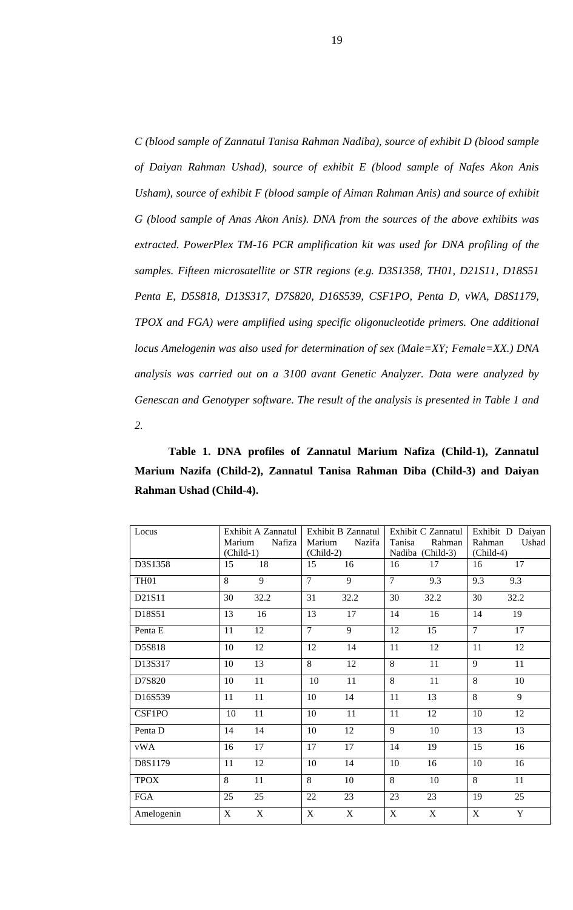*C (blood sample of Zannatul Tanisa Rahman Nadiba), source of exhibit D (blood sample of Daiyan Rahman Ushad), source of exhibit E (blood sample of Nafes Akon Anis Usham), source of exhibit F (blood sample of Aiman Rahman Anis) and source of exhibit G (blood sample of Anas Akon Anis). DNA from the sources of the above exhibits was extracted. PowerPlex TM-16 PCR amplification kit was used for DNA profiling of the samples. Fifteen microsatellite or STR regions (e.g. D3S1358, TH01, D21S11, D18S51 Penta E, D5S818, D13S317, D7S820, D16S539, CSF1PO, Penta D, vWA, D8S1179, TPOX and FGA) were amplified using specific oligonucleotide primers. One additional locus Amelogenin was also used for determination of sex (Male=XY; Female=XX.) DNA analysis was carried out on a 3100 avant Genetic Analyzer. Data were analyzed by Genescan and Genotyper software. The result of the analysis is presented in Table 1 and 2.* 

**Table 1. DNA profiles of Zannatul Marium Nafiza (Child-1), Zannatul Marium Nazifa (Child-2), Zannatul Tanisa Rahman Diba (Child-3) and Daiyan Rahman Ushad (Child-4).** 

| Locus       |             | Exhibit A Zannatul |                           | Exhibit B Zannatul |                | Exhibit C Zannatul |                | Exhibit D Daiyan |
|-------------|-------------|--------------------|---------------------------|--------------------|----------------|--------------------|----------------|------------------|
|             | Marium      | Nafiza             | Marium                    | Nazifa             | Tanisa         | Rahman             | Rahman         | Ushad            |
|             | $(Child-1)$ |                    | $(Child-2)$               |                    |                | Nadiba (Child-3)   | $(Child-4)$    |                  |
| D3S1358     | 15          | 18                 | 15                        | 16                 | 16             | 17                 | 16             | 17               |
| <b>TH01</b> | 8           | 9                  | $\overline{7}$            | 9                  | $\overline{7}$ | 9.3                | 9.3            | 9.3              |
| D21S11      | 30          | 32.2               | 31                        | 32.2               | 30             | 32.2               | 30             | 32.2             |
| D18S51      | 13          | 16                 | 13                        | 17                 | 14             | 16                 | 14             | 19               |
| Penta E     | 11          | 12                 | $\overline{7}$            | 9                  | 12             | 15                 | $\overline{7}$ | 17               |
| D5S818      | 10          | 12                 | 12                        | 14                 | 11             | 12                 | 11             | 12               |
| D13S317     | 10          | 13                 | 8                         | 12                 | 8              | 11                 | 9              | $11\,$           |
| D7S820      | 10          | 11                 | 10                        | 11                 | 8              | 11                 | 8              | $10\,$           |
| D16S539     | 11          | 11                 | 10                        | 14                 | 11             | 13                 | $\overline{8}$ | 9                |
| CSF1PO      | 10          | 11                 | 10                        | 11                 | 11             | 12                 | 10             | 12               |
| Penta D     | 14          | 14                 | 10                        | 12                 | 9              | 10                 | 13             | 13               |
| vWA         | 16          | 17                 | 17                        | 17                 | 14             | 19                 | 15             | 16               |
| D8S1179     | 11          | 12                 | 10                        | 14                 | 10             | 16                 | 10             | 16               |
| <b>TPOX</b> | 8           | 11                 | 8                         | 10                 | 8              | 10                 | 8              | 11               |
| <b>FGA</b>  | 25          | 25                 | 22                        | 23                 | 23             | 23                 | 19             | 25               |
| Amelogenin  | X           | $\mathbf X$        | $\boldsymbol{\mathrm{X}}$ | $\mathbf X$        | $\mathbf X$    | $\overline{X}$     | $\mathbf X$    | $\mathbf Y$      |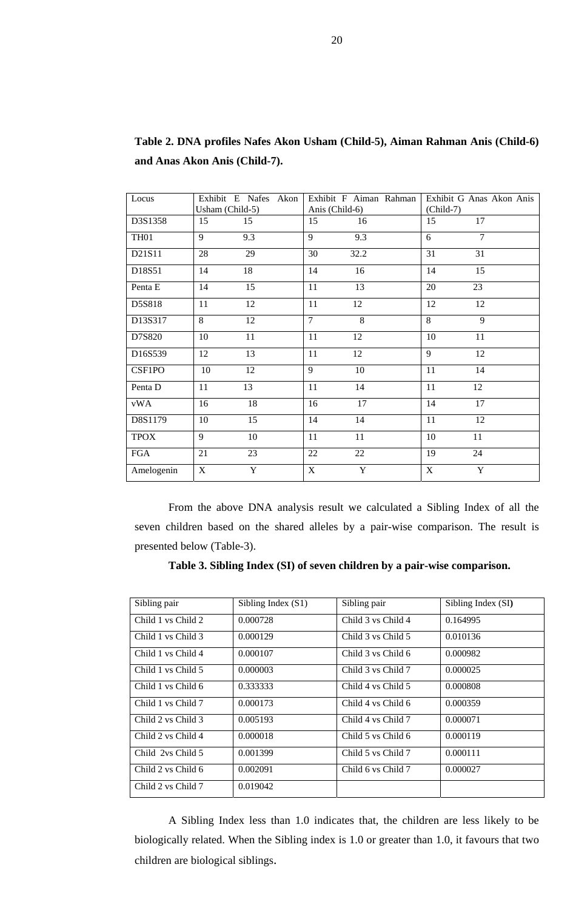| Locus       |                 | Exhibit E Nafes Akon |                | Exhibit F Aiman Rahman |                | Exhibit G Anas Akon Anis |
|-------------|-----------------|----------------------|----------------|------------------------|----------------|--------------------------|
|             | Usham (Child-5) |                      | Anis (Child-6) |                        | $(Child-7)$    |                          |
| D3S1358     | 15              | 15                   | 15             | 16                     | 15             | 17                       |
| <b>TH01</b> | 9               | 9.3                  | 9              | 9.3                    | 6              | $\overline{7}$           |
| D21S11      | 28              | 29                   | 30             | 32.2                   | 31             | 31                       |
| D18S51      | 14              | 18                   | 14             | 16                     | 14             | 15                       |
| Penta E     | 14              | 15                   | 11             | 13                     | 20             | $\overline{23}$          |
| D5S818      | 11              | 12                   | 11             | 12                     | 12             | 12                       |
| D13S317     | 8               | 12                   | $\tau$         | 8                      | 8              | 9                        |
| D7S820      | 10              | 11                   | 11             | 12                     | 10             | 11                       |
| D16S539     | 12              | 13                   | 11             | 12                     | $\overline{9}$ | 12                       |
| CSF1PO      | 10              | 12                   | 9              | 10                     | 11             | 14                       |
| Penta D     | 11              | 13                   | 11             | 14                     | 11             | 12                       |
| vWA         | 16              | 18                   | 16             | 17                     | 14             | 17                       |
| D8S1179     | 10              | 15                   | 14             | 14                     | 11             | 12                       |
| <b>TPOX</b> | 9               | 10                   | 11             | 11                     | 10             | 11                       |
| <b>FGA</b>  | 21              | 23                   | 22             | 22                     | 19             | 24                       |
| Amelogenin  | X               | Y                    | $\mathbf X$    | $\mathbf Y$            | $\overline{X}$ | $\overline{Y}$           |

**Table 2. DNA profiles Nafes Akon Usham (Child-5), Aiman Rahman Anis (Child-6) and Anas Akon Anis (Child-7).** 

From the above DNA analysis result we calculated a Sibling Index of all the seven children based on the shared alleles by a pair-wise comparison. The result is presented below (Table-3).

| Sibling pair       | Sibling Index $(S1)$ | Sibling pair       | Sibling Index (SI) |
|--------------------|----------------------|--------------------|--------------------|
| Child 1 vs Child 2 | 0.000728             | Child 3 vs Child 4 | 0.164995           |
| Child 1 vs Child 3 | 0.000129             | Child 3 vs Child 5 | 0.010136           |
| Child 1 vs Child 4 | 0.000107             | Child 3 ys Child 6 | 0.000982           |
| Child 1 vs Child 5 | 0.000003             | Child 3 ys Child 7 | 0.000025           |
| Child 1 vs Child 6 | 0.333333             | Child 4 ys Child 5 | 0.000808           |
| Child 1 vs Child 7 | 0.000173             | Child 4 ys Child 6 | 0.000359           |
| Child 2 vs Child 3 | 0.005193             | Child 4 ys Child 7 | 0.000071           |
| Child 2 vs Child 4 | 0.000018             | Child 5 ys Child 6 | 0.000119           |
| Child 2ys Child 5  | 0.001399             | Child 5 ys Child 7 | 0.000111           |
| Child 2 vs Child 6 | 0.002091             | Child 6 ys Child 7 | 0.000027           |
| Child 2 vs Child 7 | 0.019042             |                    |                    |

A Sibling Index less than 1.0 indicates that, the children are less likely to be biologically related. When the Sibling index is 1.0 or greater than 1.0, it favours that two children are biological siblings.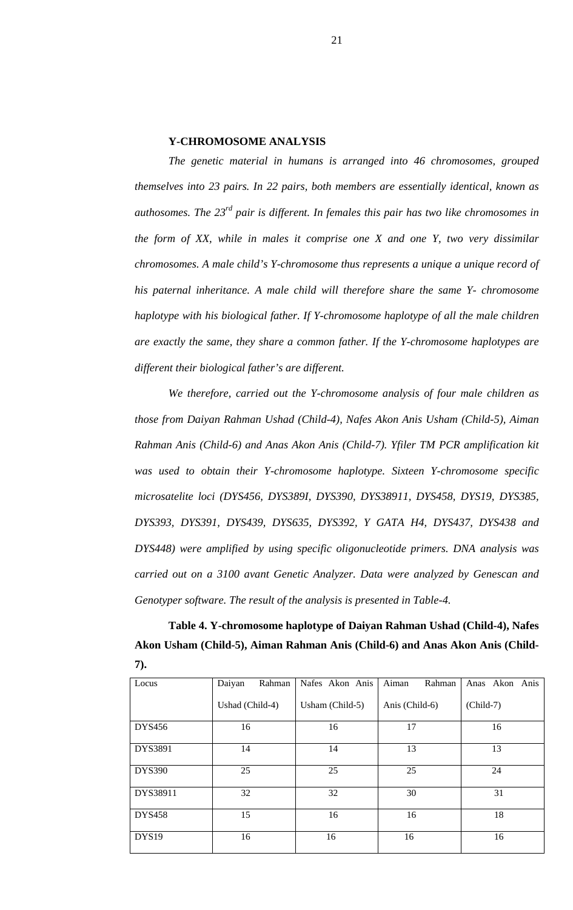## **Y-CHROMOSOME ANALYSIS**

*The genetic material in humans is arranged into 46 chromosomes, grouped themselves into 23 pairs. In 22 pairs, both members are essentially identical, known as authosomes. The 23rd pair is different. In females this pair has two like chromosomes in the form of XX, while in males it comprise one X and one Y, two very dissimilar chromosomes. A male child's Y-chromosome thus represents a unique a unique record of his paternal inheritance. A male child will therefore share the same Y- chromosome haplotype with his biological father. If Y-chromosome haplotype of all the male children are exactly the same, they share a common father. If the Y-chromosome haplotypes are different their biological father's are different.* 

 *We therefore, carried out the Y-chromosome analysis of four male children as those from Daiyan Rahman Ushad (Child-4), Nafes Akon Anis Usham (Child-5), Aiman Rahman Anis (Child-6) and Anas Akon Anis (Child-7). Yfiler TM PCR amplification kit was used to obtain their Y-chromosome haplotype. Sixteen Y-chromosome specific microsatelite loci (DYS456, DYS389I, DYS390, DYS38911, DYS458, DYS19, DYS385, DYS393, DYS391, DYS439, DYS635, DYS392, Y GATA H4, DYS437, DYS438 and DYS448) were amplified by using specific oligonucleotide primers. DNA analysis was carried out on a 3100 avant Genetic Analyzer. Data were analyzed by Genescan and Genotyper software. The result of the analysis is presented in Table-4.* 

**Table 4. Y-chromosome haplotype of Daiyan Rahman Ushad (Child-4), Nafes Akon Usham (Child-5), Aiman Rahman Anis (Child-6) and Anas Akon Anis (Child-7).** 

| Locus         | Daiyan<br>Rahman | Nafes Akon Anis | Aiman<br>Rahman | Anas Akon Anis |
|---------------|------------------|-----------------|-----------------|----------------|
|               | Ushad (Child-4)  | Usham (Child-5) | Anis (Child-6)  | $(Child-7)$    |
| <b>DYS456</b> | 16               | 16              | 17              | 16             |
| DYS3891       | 14               | 14              | 13              | 13             |
| <b>DYS390</b> | 25               | 25              | 25              | 24             |
| DYS38911      | 32               | 32              | 30              | 31             |
| <b>DYS458</b> | 15               | 16              | 16              | 18             |
| DYS19         | 16               | 16              | 16              | 16             |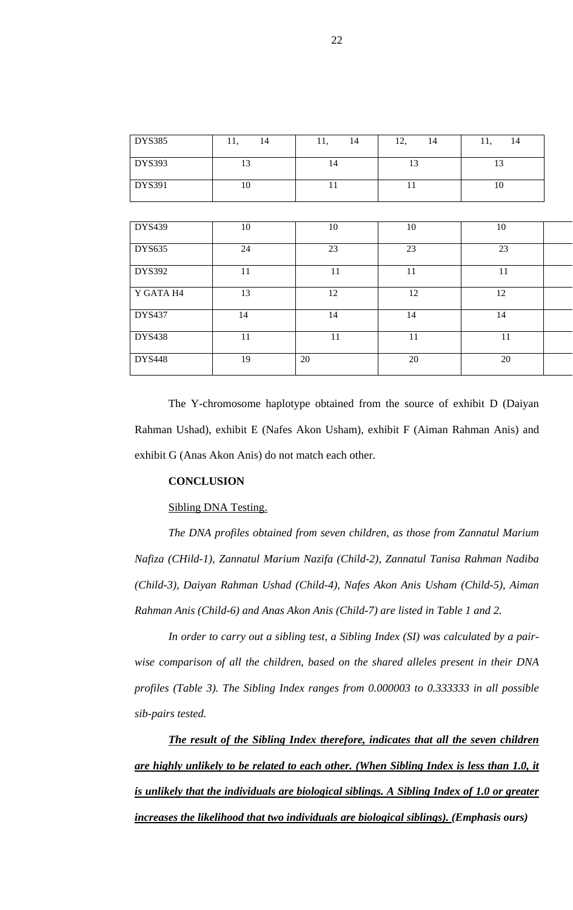| <b>DYS385</b> | 14<br>11, | 11,<br>14 | 14<br>12, | 14<br>11, |
|---------------|-----------|-----------|-----------|-----------|
| <b>DYS393</b> | 13        | 14        | 13        | 13        |
| DYS391        | 10        | 11        | 11        | 10        |
|               |           |           |           |           |
| <b>DYS439</b> | 10        | 10        | 10        | $10\,$    |
| <b>DYS635</b> | 24        | 23        | 23        | 23        |
| <b>DYS392</b> | 11        | 11        | 11        | 11        |
| Y GATA H4     | 13        | 12        | 12        | 12        |
| <b>DYS437</b> | 14        | 14        | 14        | 14        |
| <b>DYS438</b> | 11        | 11        | 11        | 11        |
| <b>DYS448</b> | 19        | 20        | 20        | $20\,$    |

The Y-chromosome haplotype obtained from the source of exhibit D (Daiyan Rahman Ushad), exhibit E (Nafes Akon Usham), exhibit F (Aiman Rahman Anis) and exhibit G (Anas Akon Anis) do not match each other.

## **CONCLUSION**

#### Sibling DNA Testing.

*The DNA profiles obtained from seven children, as those from Zannatul Marium Nafiza (CHild-1), Zannatul Marium Nazifa (Child-2), Zannatul Tanisa Rahman Nadiba (Child-3), Daiyan Rahman Ushad (Child-4), Nafes Akon Anis Usham (Child-5), Aiman Rahman Anis (Child-6) and Anas Akon Anis (Child-7) are listed in Table 1 and 2.* 

*In order to carry out a sibling test, a Sibling Index (SI) was calculated by a pairwise comparison of all the children, based on the shared alleles present in their DNA profiles (Table 3). The Sibling Index ranges from 0.000003 to 0.333333 in all possible sib-pairs tested.* 

*The result of the Sibling Index therefore, indicates that all the seven children are highly unlikely to be related to each other. (When Sibling Index is less than 1.0, it is unlikely that the individuals are biological siblings. A Sibling Index of 1.0 or greater increases the likelihood that two individuals are biological siblings). (Emphasis ours)*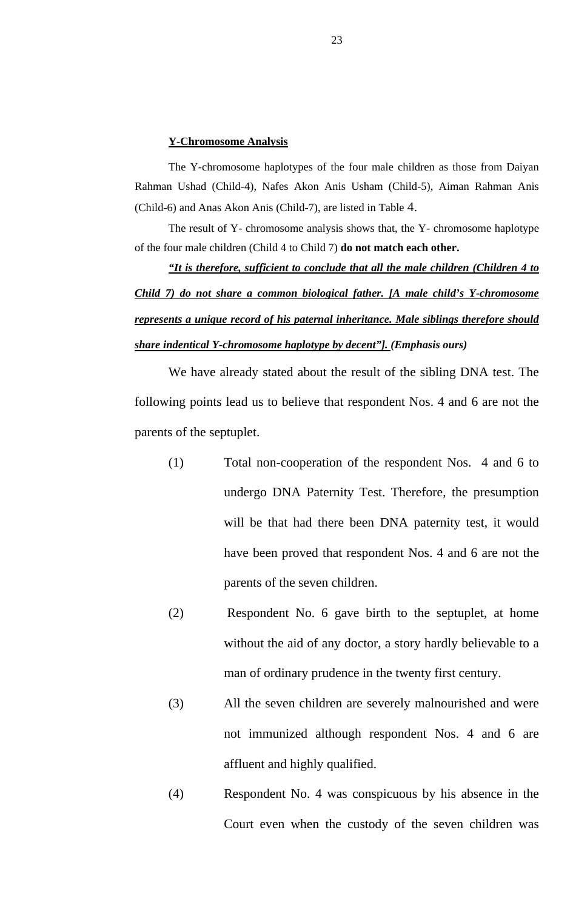#### **Y-Chromosome Analysis**

The Y-chromosome haplotypes of the four male children as those from Daiyan Rahman Ushad (Child-4), Nafes Akon Anis Usham (Child-5), Aiman Rahman Anis (Child-6) and Anas Akon Anis (Child-7), are listed in Table 4.

The result of Y- chromosome analysis shows that, the Y- chromosome haplotype of the four male children (Child 4 to Child 7) **do not match each other.** 

*"It is therefore, sufficient to conclude that all the male children (Children 4 to Child 7) do not share a common biological father. [A male child's Y-chromosome represents a unique record of his paternal inheritance. Male siblings therefore should share indentical Y-chromosome haplotype by decent"]. (Emphasis ours)* 

We have already stated about the result of the sibling DNA test. The following points lead us to believe that respondent Nos. 4 and 6 are not the parents of the septuplet.

- (1) Total non-cooperation of the respondent Nos. 4 and 6 to undergo DNA Paternity Test. Therefore, the presumption will be that had there been DNA paternity test, it would have been proved that respondent Nos. 4 and 6 are not the parents of the seven children.
- (2) Respondent No. 6 gave birth to the septuplet, at home without the aid of any doctor, a story hardly believable to a man of ordinary prudence in the twenty first century.
- (3) All the seven children are severely malnourished and were not immunized although respondent Nos. 4 and 6 are affluent and highly qualified.
- (4) Respondent No. 4 was conspicuous by his absence in the Court even when the custody of the seven children was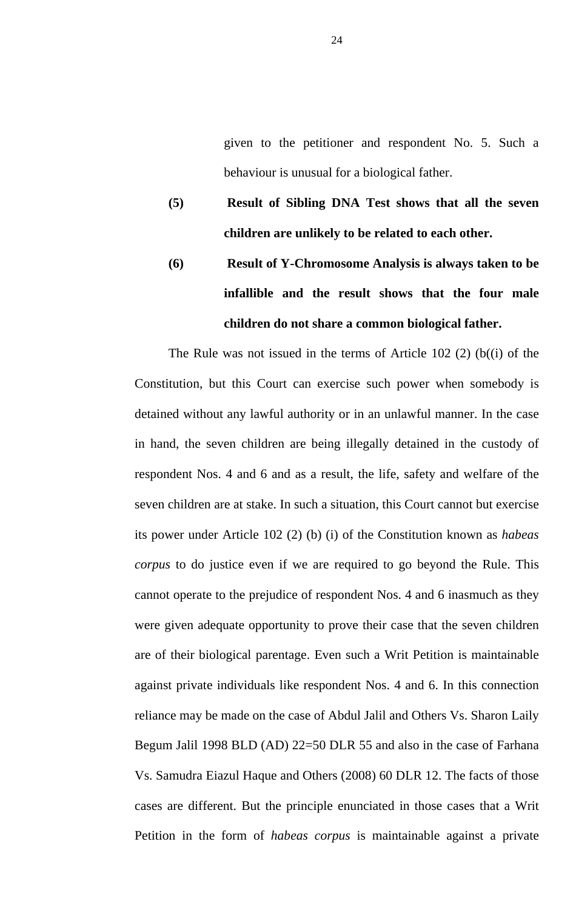given to the petitioner and respondent No. 5. Such a behaviour is unusual for a biological father.

- **(5) Result of Sibling DNA Test shows that all the seven children are unlikely to be related to each other.**
- **(6) Result of Y-Chromosome Analysis is always taken to be infallible and the result shows that the four male children do not share a common biological father.**

The Rule was not issued in the terms of Article 102 (2) (b((i) of the Constitution, but this Court can exercise such power when somebody is detained without any lawful authority or in an unlawful manner. In the case in hand, the seven children are being illegally detained in the custody of respondent Nos. 4 and 6 and as a result, the life, safety and welfare of the seven children are at stake. In such a situation, this Court cannot but exercise its power under Article 102 (2) (b) (i) of the Constitution known as *habeas corpus* to do justice even if we are required to go beyond the Rule. This cannot operate to the prejudice of respondent Nos. 4 and 6 inasmuch as they were given adequate opportunity to prove their case that the seven children are of their biological parentage. Even such a Writ Petition is maintainable against private individuals like respondent Nos. 4 and 6. In this connection reliance may be made on the case of Abdul Jalil and Others Vs. Sharon Laily Begum Jalil 1998 BLD (AD) 22=50 DLR 55 and also in the case of Farhana Vs. Samudra Eiazul Haque and Others (2008) 60 DLR 12. The facts of those cases are different. But the principle enunciated in those cases that a Writ Petition in the form of *habeas corpus* is maintainable against a private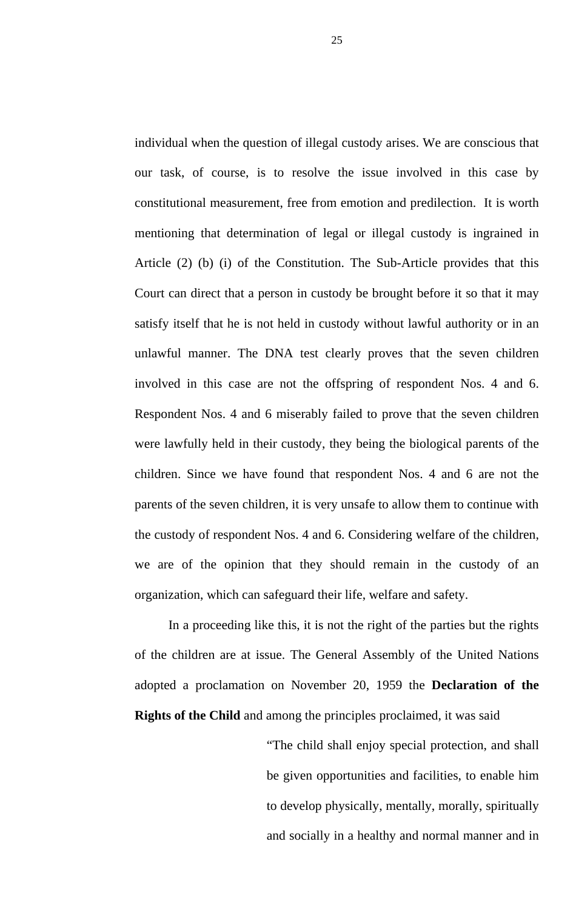individual when the question of illegal custody arises. We are conscious that our task, of course, is to resolve the issue involved in this case by constitutional measurement, free from emotion and predilection. It is worth mentioning that determination of legal or illegal custody is ingrained in Article (2) (b) (i) of the Constitution. The Sub-Article provides that this Court can direct that a person in custody be brought before it so that it may satisfy itself that he is not held in custody without lawful authority or in an unlawful manner. The DNA test clearly proves that the seven children involved in this case are not the offspring of respondent Nos. 4 and 6. Respondent Nos. 4 and 6 miserably failed to prove that the seven children were lawfully held in their custody, they being the biological parents of the children. Since we have found that respondent Nos. 4 and 6 are not the parents of the seven children, it is very unsafe to allow them to continue with the custody of respondent Nos. 4 and 6. Considering welfare of the children, we are of the opinion that they should remain in the custody of an organization, which can safeguard their life, welfare and safety.

In a proceeding like this, it is not the right of the parties but the rights of the children are at issue. The General Assembly of the United Nations adopted a proclamation on November 20, 1959 the **Declaration of the Rights of the Child** and among the principles proclaimed, it was said

> "The child shall enjoy special protection, and shall be given opportunities and facilities, to enable him to develop physically, mentally, morally, spiritually and socially in a healthy and normal manner and in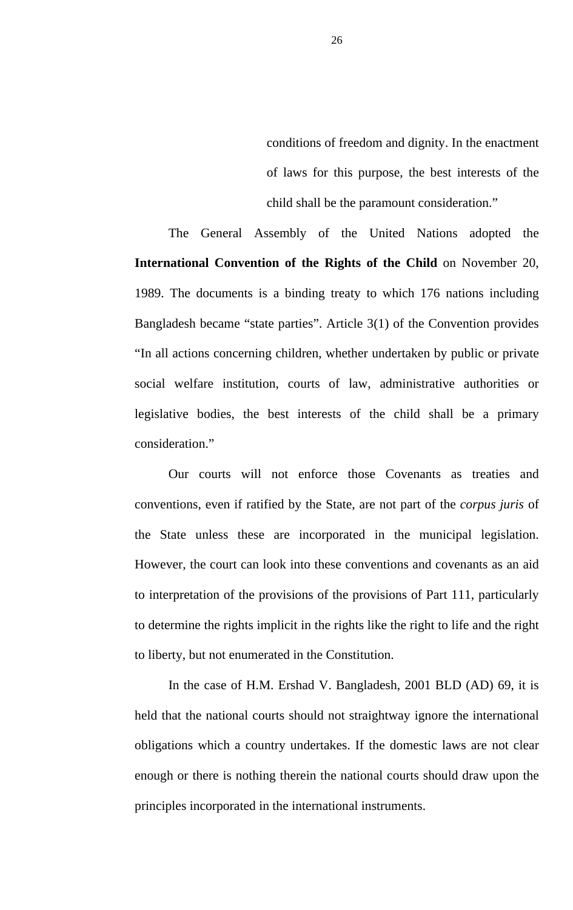conditions of freedom and dignity. In the enactment of laws for this purpose, the best interests of the child shall be the paramount consideration."

 The General Assembly of the United Nations adopted the **International Convention of the Rights of the Child** on November 20, 1989. The documents is a binding treaty to which 176 nations including Bangladesh became "state parties". Article 3(1) of the Convention provides "In all actions concerning children, whether undertaken by public or private social welfare institution, courts of law, administrative authorities or legislative bodies, the best interests of the child shall be a primary consideration."

 Our courts will not enforce those Covenants as treaties and conventions, even if ratified by the State, are not part of the *corpus juris* of the State unless these are incorporated in the municipal legislation. However, the court can look into these conventions and covenants as an aid to interpretation of the provisions of the provisions of Part 111, particularly to determine the rights implicit in the rights like the right to life and the right to liberty, but not enumerated in the Constitution.

 In the case of H.M. Ershad V. Bangladesh, 2001 BLD (AD) 69, it is held that the national courts should not straightway ignore the international obligations which a country undertakes. If the domestic laws are not clear enough or there is nothing therein the national courts should draw upon the principles incorporated in the international instruments.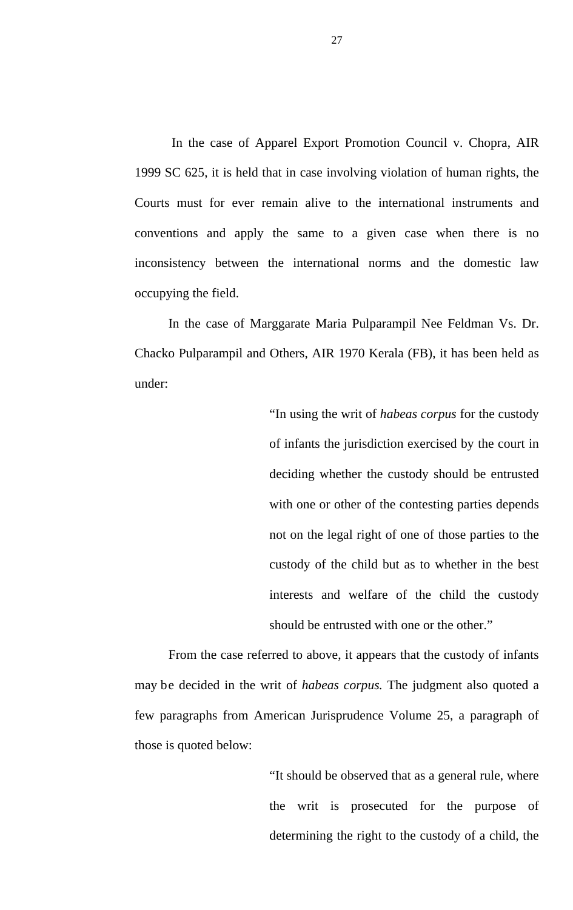In the case of Apparel Export Promotion Council v. Chopra, AIR 1999 SC 625, it is held that in case involving violation of human rights, the Courts must for ever remain alive to the international instruments and conventions and apply the same to a given case when there is no inconsistency between the international norms and the domestic law occupying the field.

 In the case of Marggarate Maria Pulparampil Nee Feldman Vs. Dr. Chacko Pulparampil and Others, AIR 1970 Kerala (FB), it has been held as under:

> "In using the writ of *habeas corpus* for the custody of infants the jurisdiction exercised by the court in deciding whether the custody should be entrusted with one or other of the contesting parties depends not on the legal right of one of those parties to the custody of the child but as to whether in the best interests and welfare of the child the custody should be entrusted with one or the other."

 From the case referred to above, it appears that the custody of infants may be decided in the writ of *habeas corpus*. The judgment also quoted a few paragraphs from American Jurisprudence Volume 25, a paragraph of those is quoted below:

> "It should be observed that as a general rule, where the writ is prosecuted for the purpose of determining the right to the custody of a child, the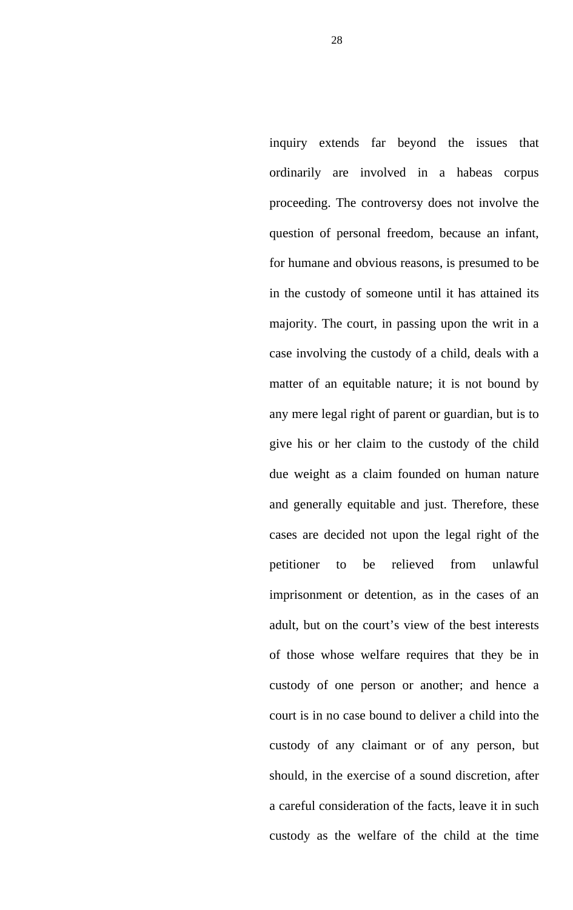inquiry extends far beyond the issues that ordinarily are involved in a habeas corpus proceeding. The controversy does not involve the question of personal freedom, because an infant, for humane and obvious reasons, is presumed to be in the custody of someone until it has attained its majority. The court, in passing upon the writ in a case involving the custody of a child, deals with a matter of an equitable nature; it is not bound by any mere legal right of parent or guardian, but is to give his or her claim to the custody of the child due weight as a claim founded on human nature and generally equitable and just. Therefore, these cases are decided not upon the legal right of the petitioner to be relieved from unlawful imprisonment or detention, as in the cases of an adult, but on the court's view of the best interests of those whose welfare requires that they be in custody of one person or another; and hence a court is in no case bound to deliver a child into the custody of any claimant or of any person, but should, in the exercise of a sound discretion, after a careful consideration of the facts, leave it in such custody as the welfare of the child at the time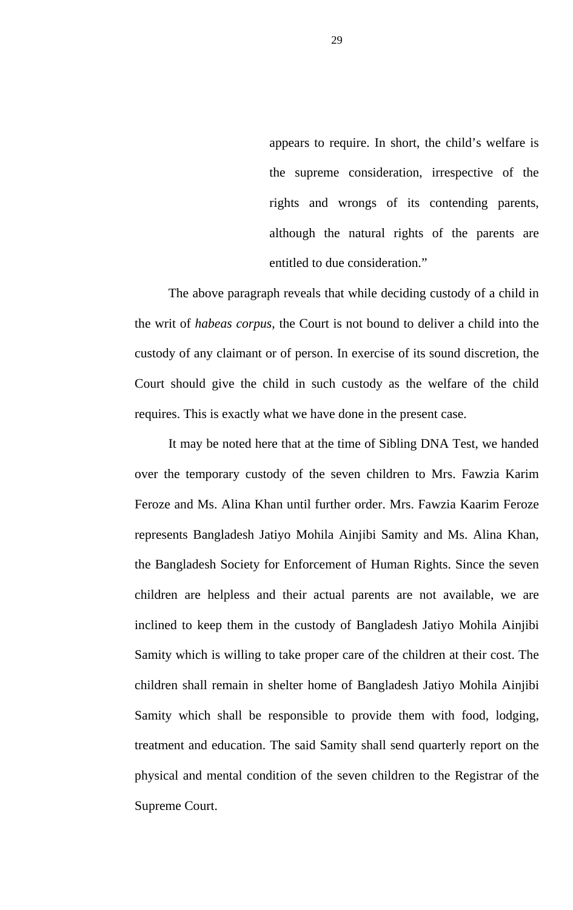appears to require. In short, the child's welfare is the supreme consideration, irrespective of the rights and wrongs of its contending parents, although the natural rights of the parents are entitled to due consideration."

 The above paragraph reveals that while deciding custody of a child in the writ of *habeas corpus,* the Court is not bound to deliver a child into the custody of any claimant or of person. In exercise of its sound discretion, the Court should give the child in such custody as the welfare of the child requires. This is exactly what we have done in the present case.

It may be noted here that at the time of Sibling DNA Test, we handed over the temporary custody of the seven children to Mrs. Fawzia Karim Feroze and Ms. Alina Khan until further order. Mrs. Fawzia Kaarim Feroze represents Bangladesh Jatiyo Mohila Ainjibi Samity and Ms. Alina Khan, the Bangladesh Society for Enforcement of Human Rights. Since the seven children are helpless and their actual parents are not available, we are inclined to keep them in the custody of Bangladesh Jatiyo Mohila Ainjibi Samity which is willing to take proper care of the children at their cost. The children shall remain in shelter home of Bangladesh Jatiyo Mohila Ainjibi Samity which shall be responsible to provide them with food, lodging, treatment and education. The said Samity shall send quarterly report on the physical and mental condition of the seven children to the Registrar of the Supreme Court.